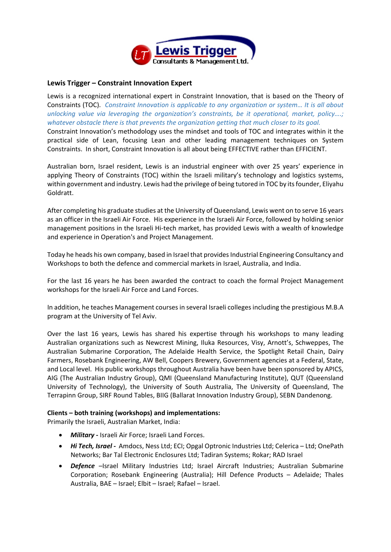

## **Lewis Trigger – Constraint Innovation Expert**

Lewis is a recognized international expert in Constraint Innovation, that is based on the Theory of Constraints (TOC). *Constraint Innovation is applicable to any organization or system… It is all about unlocking value via leveraging the organization's constraints, be it operational, market, policy….; whatever obstacle there is that prevents the organization getting that much closer to its goal.* Constraint Innovation's methodology uses the mindset and tools of TOC and integrates within it the practical side of Lean, focusing Lean and other leading management techniques on System

Australian born, Israel resident, Lewis is an industrial engineer with over 25 years' experience in applying Theory of Constraints (TOC) within the Israeli military's technology and logistics systems, within government and industry. Lewis had the privilege of being tutored in TOC by its founder, Eliyahu Goldratt.

Constraints. In short, Constraint Innovation is all about being EFFECTIVE rather than EFFICIENT.

After completing his graduate studies at the University of Queensland, Lewis went on to serve 16 years as an officer in the Israeli Air Force. His experience in the Israeli Air Force, followed by holding senior management positions in the Israeli Hi-tech market, has provided Lewis with a wealth of knowledge and experience in Operation's and Project Management.

Today he heads his own company, based in Israel that provides Industrial Engineering Consultancy and Workshops to both the defence and commercial markets in Israel, Australia, and India.

For the last 16 years he has been awarded the contract to coach the formal Project Management workshops for the Israeli Air Force and Land Forces.

In addition, he teaches Management courses in several Israeli colleges including the prestigious M.B.A program at the University of Tel Aviv.

Over the last 16 years, Lewis has shared his expertise through his workshops to many leading Australian organizations such as Newcrest Mining, Iluka Resources, Visy, Arnott's, Schweppes, The Australian Submarine Corporation, The Adelaide Health Service, the Spotlight Retail Chain, Dairy Farmers, Rosebank Engineering, AW Bell, Coopers Brewery, Government agencies at a Federal, State, and Local level. His public workshops throughout Australia have been have been sponsored by APICS, AIG (The Australian Industry Group), QMI (Queensland Manufacturing Institute), QUT (Queensland University of Technology), the University of South Australia, The University of Queensland, The Terrapinn Group, SIRF Round Tables, BIIG (Ballarat Innovation Industry Group), SEBN Dandenong.

## **Clients – both training (workshops) and implementations:**

Primarily the Israeli, Australian Market, India:

- *Military* **-** Israeli Air Force; Israeli Land Forces.
- *Hi Tech, Israel -* Amdocs, Ness Ltd; ECI; Opgal Optronic Industries Ltd; Celerica Ltd; OnePath Networks; Bar Tal Electronic Enclosures Ltd; Tadiran Systems; Rokar; RAD Israel
- *Defence* –Israel Military Industries Ltd; Israel Aircraft Industries; Australian Submarine Corporation; Rosebank Engineering (Australia); Hill Defence Products – Adelaide; Thales Australia, BAE – Israel; Elbit – Israel; Rafael – Israel.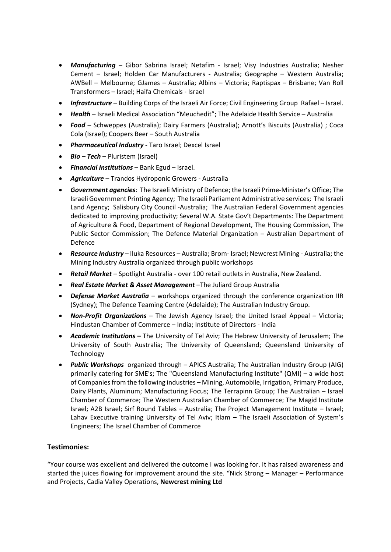- *Manufacturing*  Gibor Sabrina Israel; Netafim Israel; Visy Industries Australia; Nesher Cement – Israel; Holden Car Manufacturers - Australia; Geographe – Western Australia; AWBell – Melbourne; GJames – Australia; Albins – Victoria; Raptispax – Brisbane; Van Roll Transformers – Israel; Haifa Chemicals - Israel
- *Infrastructure*  Building Corps of the Israeli Air Force; Civil Engineering Group Rafael Israel.
- *Health* Israeli Medical Association "Meuchedit"; The Adelaide Health Service Australia
- *Food*  Schweppes (Australia); Dairy Farmers (Australia); Arnott's Biscuits (Australia) ; Coca Cola (Israel); Coopers Beer – South Australia
- *Pharmaceutical Industry*  Taro Israel; Dexcel Israel
- *Bio – Tech* Pluristem (Israel)
- *Financial Institutions*  Bank Egud Israel.
- *Agriculture*  Trandos Hydroponic Growers Australia
- *Government agencies*: The Israeli Ministry of Defence; the Israeli Prime-Minister's Office; The Israeli Government Printing Agency; The Israeli Parliament Administrative services; The Israeli Land Agency; Salisbury City Council -Australia; The Australian Federal Government agencies dedicated to improving productivity; Several W.A. State Gov't Departments: The Department of Agriculture & Food, Department of Regional Development, The Housing Commission, The Public Sector Commission; The Defence Material Organization – Australian Department of Defence
- *Resource Industry*  Iluka Resources Australia; Brom- Israel; Newcrest Mining Australia; the Mining Industry Australia organized through public workshops
- *Retail Market* Spotlight Australia over 100 retail outlets in Australia, New Zealand.
- *Real Estate Market & Asset Management* –The Juliard Group Australia
- *Defense Market Australia*  workshops organized through the conference organization IIR (Sydney); The Defence Teaming Centre (Adelaide); The Australian Industry Group.
- *Non-Profit Organizations*  The Jewish Agency Israel; the United Israel Appeal Victoria; Hindustan Chamber of Commerce – India; Institute of Directors - India
- *Academic Institutions* **–** The University of Tel Aviv; The Hebrew University of Jerusalem; The University of South Australia; The University of Queensland; Queensland University of Technology
- *Public Workshops* organized through APICS Australia; The Australian Industry Group (AIG) primarily catering for SME's; The "Queensland Manufacturing Institute" (QMI) – a wide host of Companies from the following industries – Mining, Automobile, Irrigation, Primary Produce, Dairy Plants, Aluminum; Manufacturing Focus; The Terrapinn Group; The Australian – Israel Chamber of Commerce; The Western Australian Chamber of Commerce; The Magid Institute Israel; A2B Israel; Sirf Round Tables – Australia; The Project Management Institute – Israel; Lahav Executive training University of Tel Aviv; Itlam – The Israeli Association of System's Engineers; The Israel Chamber of Commerce

## **Testimonies:**

"Your course was excellent and delivered the outcome I was looking for. It has raised awareness and started the juices flowing for improvement around the site. "Nick Strong – Manager – Performance and Projects, Cadia Valley Operations, **Newcrest mining Ltd**